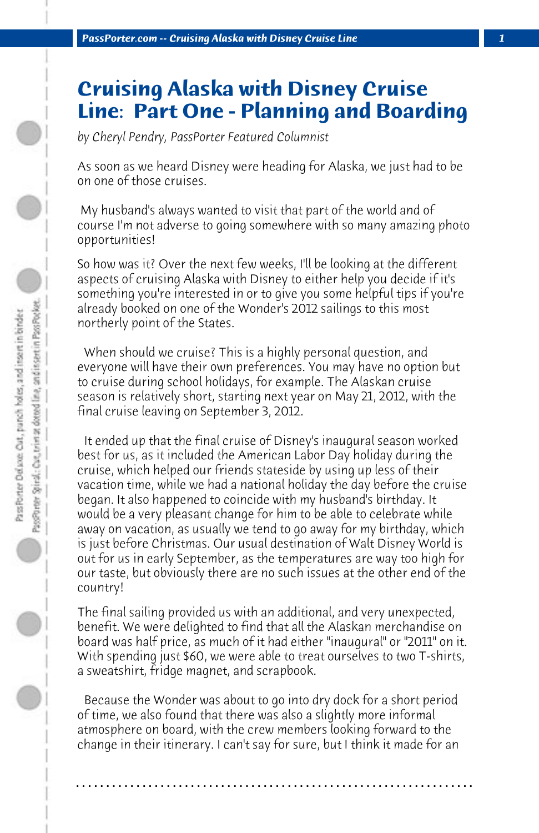## **Cruising Alaska with Disney Cruise Line: Part One - Planning and Boarding**

*by Cheryl Pendry, PassPorter Featured Columnist*

As soon as we heard Disney were heading for Alaska, we just had to be on one of those cruises.

 My husband's always wanted to visit that part of the world and of course I'm not adverse to going somewhere with so many amazing photo opportunities!

So how was it? Over the next few weeks, I'll be looking at the different aspects of cruising Alaska with Disney to either help you decide if it's something you're interested in or to give you some helpful tips if you're already booked on one of the Wonder's 2012 sailings to this most northerly point of the States.

 When should we cruise? This is a highly personal question, and everyone will have their own preferences. You may have no option but to cruise during school holidays, for example. The Alaskan cruise season is relatively short, starting next year on May 21, 2012, with the final cruise leaving on September 3, 2012.

 It ended up that the final cruise of Disney's inaugural season worked best for us, as it included the American Labor Day holiday during the cruise, which helped our friends stateside by using up less of their vacation time, while we had a national holiday the day before the cruise began. It also happened to coincide with my husband's birthday. It would be a very pleasant change for him to be able to celebrate while away on vacation, as usually we tend to go away for my birthday, which is just before Christmas. Our usual destination of Walt Disney World is out for us in early September, as the temperatures are way too high for our taste, but obviously there are no such issues at the other end of the country!

The final sailing provided us with an additional, and very unexpected, benefit. We were delighted to find that all the Alaskan merchandise on board was half price, as much of it had either "inaugural" or "2011" on it. With spending just \$60, we were able to treat ourselves to two T-shirts, a sweatshirt, fridge magnet, and scrapbook.

 Because the Wonder was about to go into dry dock for a short period of time, we also found that there was also a slightly more informal atmosphere on board, with the crew members looking forward to the change in their itinerary. I can't say for sure, but I think it made for an

**. . . . . . . . . . . . . . . . . . . . . . . . . . . . . . . . . . . . . . . . . . . . . . . . . . . . . . . . . . . . . . . . . .**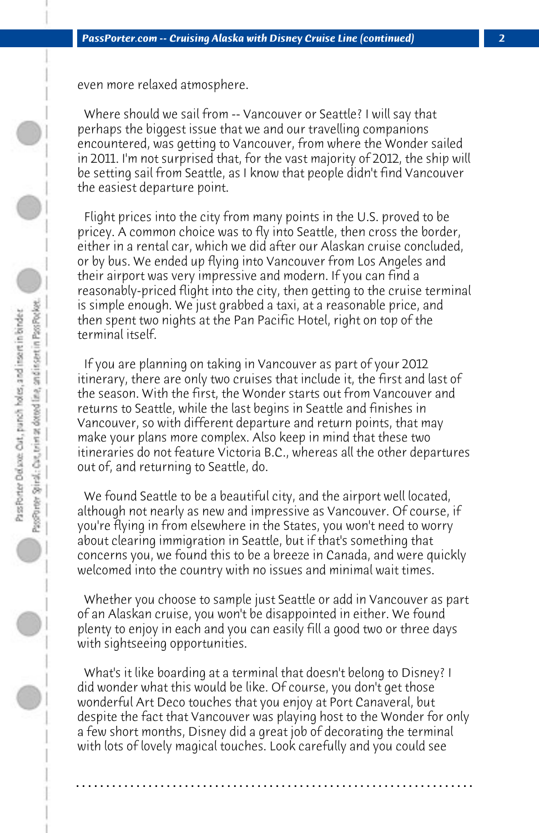even more relaxed atmosphere.

 Where should we sail from -- Vancouver or Seattle? I will say that perhaps the biggest issue that we and our travelling companions encountered, was getting to Vancouver, from where the Wonder sailed in 2011. I'm not surprised that, for the vast majority of 2012, the ship will be setting sail from Seattle, as I know that people didn't find Vancouver the easiest departure point.

 Flight prices into the city from many points in the U.S. proved to be pricey. A common choice was to fly into Seattle, then cross the border, either in a rental car, which we did after our Alaskan cruise concluded, or by bus. We ended up flying into Vancouver from Los Angeles and their airport was very impressive and modern. If you can find a reasonably-priced flight into the city, then getting to the cruise terminal is simple enough. We just grabbed a taxi, at a reasonable price, and then spent two nights at the Pan Pacific Hotel, right on top of the terminal itself.

 If you are planning on taking in Vancouver as part of your 2012 itinerary, there are only two cruises that include it, the first and last of the season. With the first, the Wonder starts out from Vancouver and returns to Seattle, while the last begins in Seattle and finishes in Vancouver, so with different departure and return points, that may make your plans more complex. Also keep in mind that these two itineraries do not feature Victoria B.C., whereas all the other departures out of, and returning to Seattle, do.

 We found Seattle to be a beautiful city, and the airport well located, although not nearly as new and impressive as Vancouver. Of course, if you're flying in from elsewhere in the States, you won't need to worry about clearing immigration in Seattle, but if that's something that concerns you, we found this to be a breeze in Canada, and were quickly welcomed into the country with no issues and minimal wait times.

 Whether you choose to sample just Seattle or add in Vancouver as part of an Alaskan cruise, you won't be disappointed in either. We found plenty to enjoy in each and you can easily fill a good two or three days with sightseeing opportunities.

 What's it like boarding at a terminal that doesn't belong to Disney? I did wonder what this would be like. Of course, you don't get those wonderful Art Deco touches that you enjoy at Port Canaveral, but despite the fact that Vancouver was playing host to the Wonder for only a few short months, Disney did a great job of decorating the terminal with lots of lovely magical touches. Look carefully and you could see

**. . . . . . . . . . . . . . . . . . . . . . . . . . . . . . . . . . . . . . . . . . . . . . . . . . . . . . . . . . . . . . . . . .**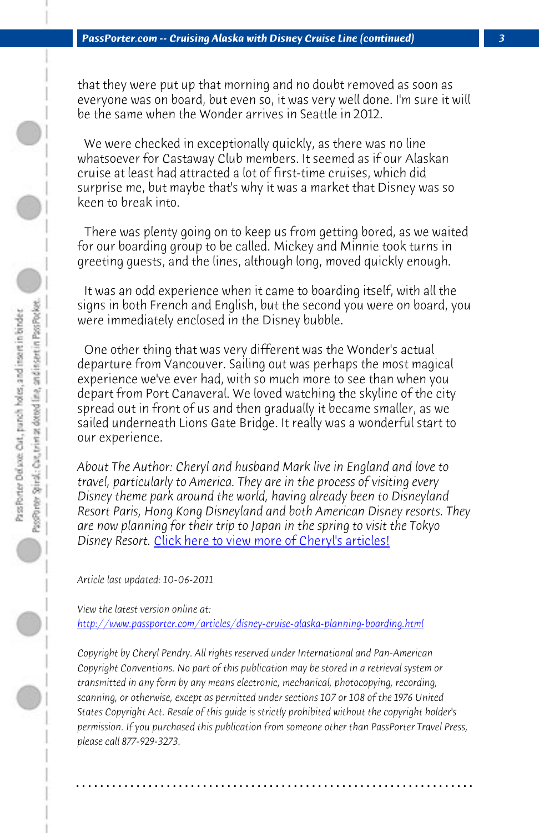## *PassPorter.com -- Cruising Alaska with Disney Cruise Line (continued) 3*

that they were put up that morning and no doubt removed as soon as everyone was on board, but even so, it was very well done. I'm sure it will be the same when the Wonder arrives in Seattle in 2012.

 We were checked in exceptionally quickly, as there was no line whatsoever for Castaway Club members. It seemed as if our Alaskan cruise at least had attracted a lot of first-time cruises, which did surprise me, but maybe that's why it was a market that Disney was so keen to break into.

 There was plenty going on to keep us from getting bored, as we waited for our boarding group to be called. Mickey and Minnie took turns in greeting guests, and the lines, although long, moved quickly enough.

 It was an od[d experience when it came to boarding itself,](http://www.passporter.com/articles/cheryl-pendry-featured-columnist.asp) with all the signs in both French and English, but the second you were on board, you were immediately enclosed in the Disney bubble.

 One other thing that was very different was the Wonder's actual departure from Vancouver. Sailing out was perhaps the most magical [experience we've ever had, with so much more to see than when](http://www.passporter.com/articles/disney-cruise-alaska-planning-boarding.php) you depart from Port Canaveral. We loved watching the skyline of the city spread out in front of us and then gradually it became smaller, as we sailed underneath Lions Gate Bridge. It really was a wonderful start to our experience.

*About The Author: Cheryl and husband Mark live in England and love to travel, particularly to America. They are in the process of visiting every Disney theme park around the world, having already been to Disneyland Resort Paris, Hong Kong Disneyland and both American Disney resorts. They are now planning for their trip to Japan in the spring to visit the Tokyo Disney Resort.* Click here to view more of Cheryl's articles!

*Article last updated: 10-06-2011*

*View the latest version online at: http://www.passporter.com/articles/disney-cruise-alaska-planning-boarding.html*

*Copyright by Cheryl Pendry. All rights reserved under International and Pan-American Copyright Conventions. No part of this publication may be stored in a retrieval system or transmitted in any form by any means electronic, mechanical, photocopying, recording, scanning, or otherwise, except as permitted under sections 107 or 108 of the 1976 United States Copyright Act. Resale of this guide is strictly prohibited without the copyright holder's permission. If you purchased this publication from someone other than PassPorter Travel Press, please call 877-929-3273.*

**. . . . . . . . . . . . . . . . . . . . . . . . . . . . . . . . . . . . . . . . . . . . . . . . . . . . . . . . . . . . . . . . . .**